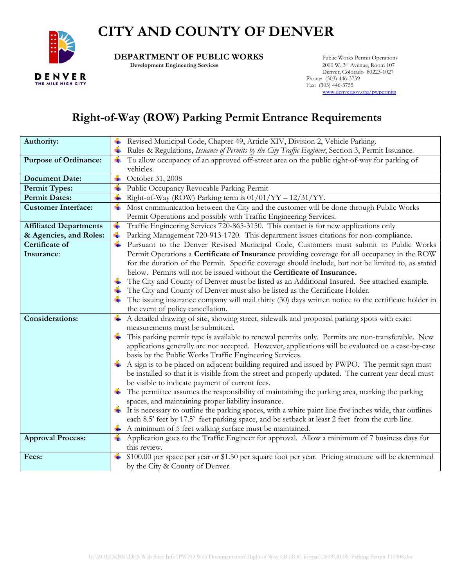## **CITY AND COUNTY OF DENVER**



**DEPARTMENT OF PUBLIC WORKS** Public Works Permit Operations<br>Development Engineering Services 2000 W. 3rd Avenue, Room 107

**Development Engineering Services** 

 Denver, Colorado 80223-1027 Phone: (303) 446-3759 Fax: (303) 446-3755 [www.denvergov.org/pwpermits](http://www.denvergov.org/pwpermits)

## **Right-of-Way (ROW) Parking Permit Entrance Requirements**

| Authority:                    | Revised Municipal Code, Chapter 49, Article XIV, Division 2, Vehicle Parking.                                                                    |  |  |  |  |
|-------------------------------|--------------------------------------------------------------------------------------------------------------------------------------------------|--|--|--|--|
|                               | Rules & Regulations, Issuance of Permits by the City Traffic Engineer, Section 3, Permit Issuance.                                               |  |  |  |  |
| <b>Purpose of Ordinance:</b>  | To allow occupancy of an approved off-street area on the public right-of-way for parking of<br>¥                                                 |  |  |  |  |
|                               | vehicles.                                                                                                                                        |  |  |  |  |
| <b>Document Date:</b>         | ÷<br>October 31, 2008                                                                                                                            |  |  |  |  |
| Permit Types:                 | Public Occupancy Revocable Parking Permit                                                                                                        |  |  |  |  |
| <b>Permit Dates:</b>          | Right-of-Way (ROW) Parking term is $01/01/YY - 12/31/YY$ .<br>÷                                                                                  |  |  |  |  |
| <b>Customer Interface:</b>    | Most communication between the City and the customer will be done through Public Works                                                           |  |  |  |  |
|                               | Permit Operations and possibly with Traffic Engineering Services.                                                                                |  |  |  |  |
| <b>Affiliated Departments</b> | Traffic Engineering Services 720-865-3150. This contact is for new applications only<br>÷                                                        |  |  |  |  |
| & Agencies, and Roles:        | Parking Management 720-913-1720. This department issues citations for non-compliance.                                                            |  |  |  |  |
| <b>Certificate of</b>         | Pursuant to the Denver Revised Municipal Code, Customers must submit to Public Works                                                             |  |  |  |  |
| Insurance:                    | Permit Operations a Certificate of Insurance providing coverage for all occupancy in the ROW                                                     |  |  |  |  |
|                               | for the duration of the Permit. Specific coverage should include, but not be limited to, as stated                                               |  |  |  |  |
|                               | below. Permits will not be issued without the Certificate of Insurance.                                                                          |  |  |  |  |
|                               | The City and County of Denver must be listed as an Additional Insured. See attached example.                                                     |  |  |  |  |
|                               | The City and County of Denver must also be listed as the Certificate Holder.                                                                     |  |  |  |  |
|                               | The issuing insurance company will mail thirty (30) days written notice to the certificate holder in                                             |  |  |  |  |
|                               | the event of policy cancellation.                                                                                                                |  |  |  |  |
| <b>Considerations:</b>        | A detailed drawing of site, showing street, sidewalk and proposed parking spots with exact<br>÷                                                  |  |  |  |  |
|                               | measurements must be submitted.                                                                                                                  |  |  |  |  |
|                               | This parking permit type is available to renewal permits only. Permits are non-transferable. New                                                 |  |  |  |  |
|                               | applications generally are not accepted. However, applications will be evaluated on a case-by-case                                               |  |  |  |  |
|                               | basis by the Public Works Traffic Engineering Services.                                                                                          |  |  |  |  |
|                               | A sign is to be placed on adjacent building required and issued by PWPO. The permit sign must                                                    |  |  |  |  |
|                               | be installed so that it is visible from the street and properly updated. The current year decal must                                             |  |  |  |  |
|                               | be visible to indicate payment of current fees.<br>The permittee assumes the responsibility of maintaining the parking area, marking the parking |  |  |  |  |
|                               | spaces, and maintaining proper liability insurance.                                                                                              |  |  |  |  |
|                               | $\pm$ It is necessary to outline the parking spaces, with a white paint line five inches wide, that outlines                                     |  |  |  |  |
|                               | each 8.5' feet by 17.5' feet parking space, and be setback at least 2 feet from the curb line.                                                   |  |  |  |  |
|                               | A minimum of 5 feet walking surface must be maintained.                                                                                          |  |  |  |  |
| <b>Approval Process:</b>      | Application goes to the Traffic Engineer for approval. Allow a minimum of 7 business days for<br>÷                                               |  |  |  |  |
|                               | this review.                                                                                                                                     |  |  |  |  |
| Fees:                         | \$100.00 per space per year or \$1.50 per square foot per year. Pricing structure will be determined<br>÷                                        |  |  |  |  |
|                               | by the City & County of Denver.                                                                                                                  |  |  |  |  |